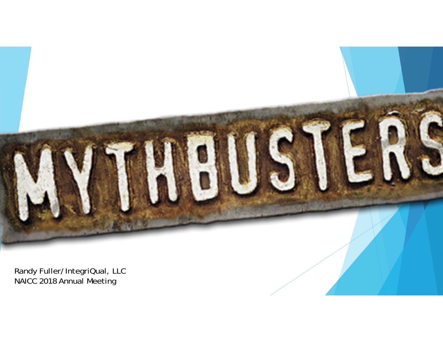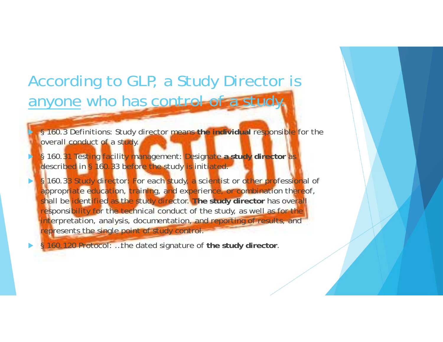# According to GLP, a Study Director is anyone who has control of a study.

▶

X

 $\blacktriangleright$ 

 $\blacktriangleright$ 

 § 160.3 Definitions: Study director means **the individual** responsible for the overall conduct of a study.

 § 160.31 Testing facility management: Designate **a study director** as described in § 160.33 before the study is initiated.

 § 160.33 Study director: For each study, a scientist or other professional of appropriate education, training, and experience, or combination thereof, shall be identified as the study director. **The study director** has overall responsibility for the technical conduct of the study, as well as for the interpretation, analysis, documentation, and reporting of results, and represents the single point of study control.

§ 160.120 Protocol: …the dated signature of **the study director**.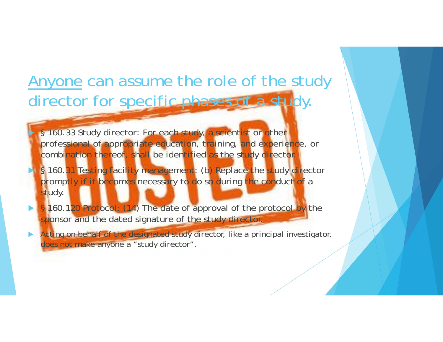# Anyone can assume the role of the study director for specific phases of a study.

§ 160.33 Study director: For each study, a scientist or other professional of appropriate education, training, and experience, or combination thereof, shall be identified as the study director.

▶

X

- § 160.31 Testing facility management: (b) Replace the study director promptly if it becomes necessary to do so during the conduct of a study.
- $\blacktriangleright$ § 160.120 Protocol: (14) The date of approval of the protocol by the sponsor and the dated signature of the study director.
- $\blacktriangleright$  Acting on behalf of the designated study director, like a principal investigator, does not make anyone a "study director".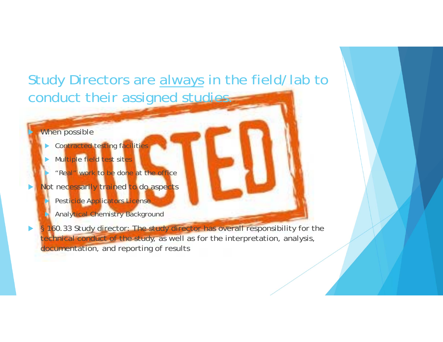### Study Directors are always in the field/lab to conduct their assigned studies.

#### When possible

▶

 $\blacktriangleright$ 

Þ

- $\blacktriangleright$ Contracted testing facilities
- $\blacktriangleright$  Multiple field test sites
	- "Real" work to be done at the office
- $\blacktriangleright$ Not necessarily trained to do aspects Ŋ Pesticide Applicators License
	- Þ Analytical Chemistry Background
	- § 160.33 Study director: The study director has overall responsibility for the technical conduct of the study, as well as for the interpretation, analysis, documentation, and reporting of results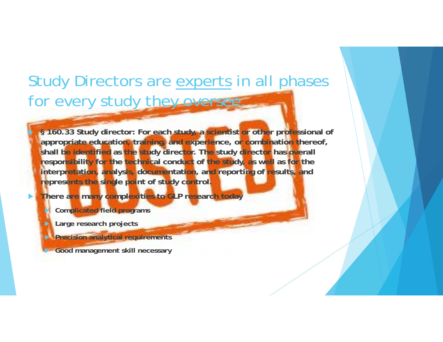# Study Directors are experts in all phases for every study they oversee.

 **§ 160.33 Study director: For each study, a scientist or other professional of appropriate education, training, and experience, or combination thereof, shall be identified as the study director. The study director has overall responsibility for the technical conduct of the study, as well as for the interpretation, analysis, documentation, and reporting of results, and represents the single point of study control.**

 $\blacktriangleright$ **There are many complexities to GLP research today**

D **Complicated field programs**

 $\blacktriangleright$ **Large research projects**

▶

**Precision analytical requirements**

**Good management skill necessary**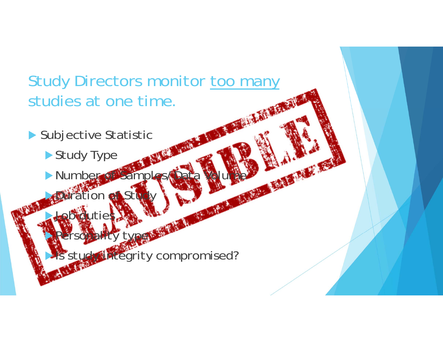# Study Directors monitor too many studies at one time.

- Subjective Statistic
	- ▶ Study Type

**Job duties** 

Number of Samples

on  $e$ f $S$ ti

Personality type **CHA** Pregrity compromised?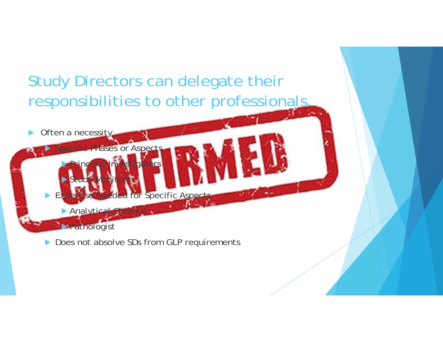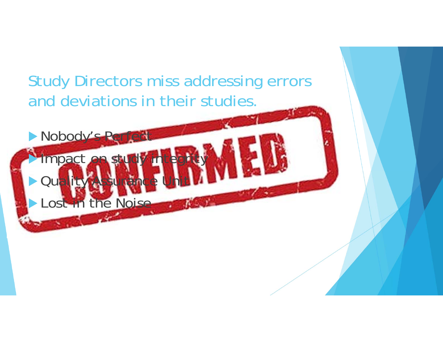